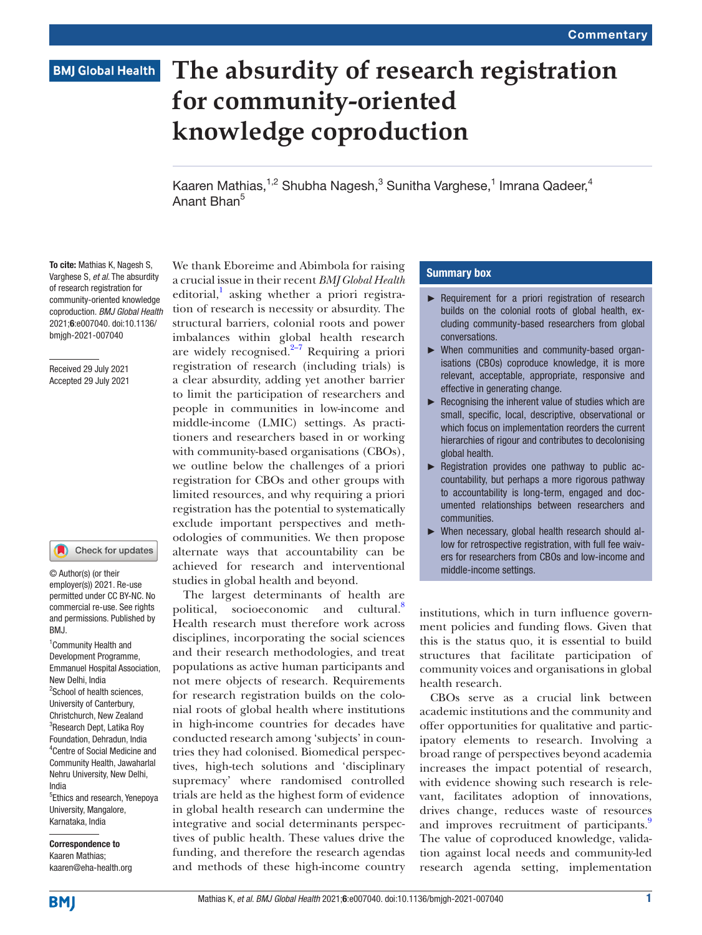# **BMJ Global Health**

# **The absurdity of research registration for community-oriented knowledge coproduction**

Kaaren Mathias,<sup>1,2</sup> Shubha Nagesh,<sup>3</sup> Sunitha Varghese,<sup>1</sup> Imrana Qadeer,<sup>4</sup> Anant Bhan5

To cite: Mathias K, Nagesh S, Varghese S, *et al*. The absurdity of research registration for community-oriented knowledge coproduction. *BMJ Global Health* 2021;6:e007040. doi:10.1136/ bmjgh-2021-007040

Received 29 July 2021 Accepted 29 July 2021

#### Check for updates

© Author(s) (or their employer(s)) 2021. Re-use permitted under CC BY-NC. No commercial re-use. See rights and permissions. Published by BMJ.

<sup>1</sup> Community Health and Development Programme, Emmanuel Hospital Association, New Delhi, India <sup>2</sup>School of health sciences, University of Canterbury, Christchurch, New Zealand <sup>3</sup>Research Dept, Latika Roy Foundation, Dehradun, India 4 Centre of Social Medicine and Community Health, Jawaharlal Nehru University, New Delhi, India

<sup>5</sup>Ethics and research, Yenepoya University, Mangalore, Karnataka, India

Correspondence to Kaaren Mathias; kaaren@eha-health.org We thank Eboreime and Abimbola for raising a crucial issue in their recent *BMJ Global Health* editorial,<sup>[1](#page-2-0)</sup> asking whether a priori registration of research is necessity or absurdity. The structural barriers, colonial roots and power imbalances within global health research are widely recognised. $2-7$  Requiring a priori registration of research (including trials) is a clear absurdity, adding yet another barrier to limit the participation of researchers and people in communities in low-income and middle-income (LMIC) settings. As practitioners and researchers based in or working with community-based organisations (CBOs), we outline below the challenges of a priori registration for CBOs and other groups with limited resources, and why requiring a priori registration has the potential to systematically exclude important perspectives and methodologies of communities. We then propose alternate ways that accountability can be achieved for research and interventional studies in global health and beyond.

The largest determinants of health are political, socioeconomic and cultural.<sup>8</sup> Health research must therefore work across disciplines, incorporating the social sciences and their research methodologies, and treat populations as active human participants and not mere objects of research. Requirements for research registration builds on the colonial roots of global health where institutions in high-income countries for decades have conducted research among 'subjects' in countries they had colonised. Biomedical perspectives, high-tech solutions and 'disciplinary supremacy' where randomised controlled trials are held as the highest form of evidence in global health research can undermine the integrative and social determinants perspectives of public health. These values drive the funding, and therefore the research agendas and methods of these high-income country

## Summary box

- ► Requirement for a priori registration of research builds on the colonial roots of global health, excluding community-based researchers from global conversations.
- ► When communities and community-based organisations (CBOs) coproduce knowledge, it is more relevant, acceptable, appropriate, responsive and effective in generating change.
- $\blacktriangleright$  Recognising the inherent value of studies which are small, specific, local, descriptive, observational or which focus on implementation reorders the current hierarchies of rigour and contributes to decolonising global health.
- ► Registration provides one pathway to public accountability, but perhaps a more rigorous pathway to accountability is long-term, engaged and documented relationships between researchers and communities.
- ► When necessary, global health research should allow for retrospective registration, with full fee waivers for researchers from CBOs and low-income and middle-income settings.

institutions, which in turn influence government policies and funding flows. Given that this is the status quo, it is essential to build structures that facilitate participation of community voices and organisations in global health research.

CBOs serve as a crucial link between academic institutions and the community and offer opportunities for qualitative and participatory elements to research. Involving a broad range of perspectives beyond academia increases the impact potential of research, with evidence showing such research is relevant, facilitates adoption of innovations, drives change, reduces waste of resources and improves recruitment of participants. The value of coproduced knowledge, validation against local needs and community-led research agenda setting, implementation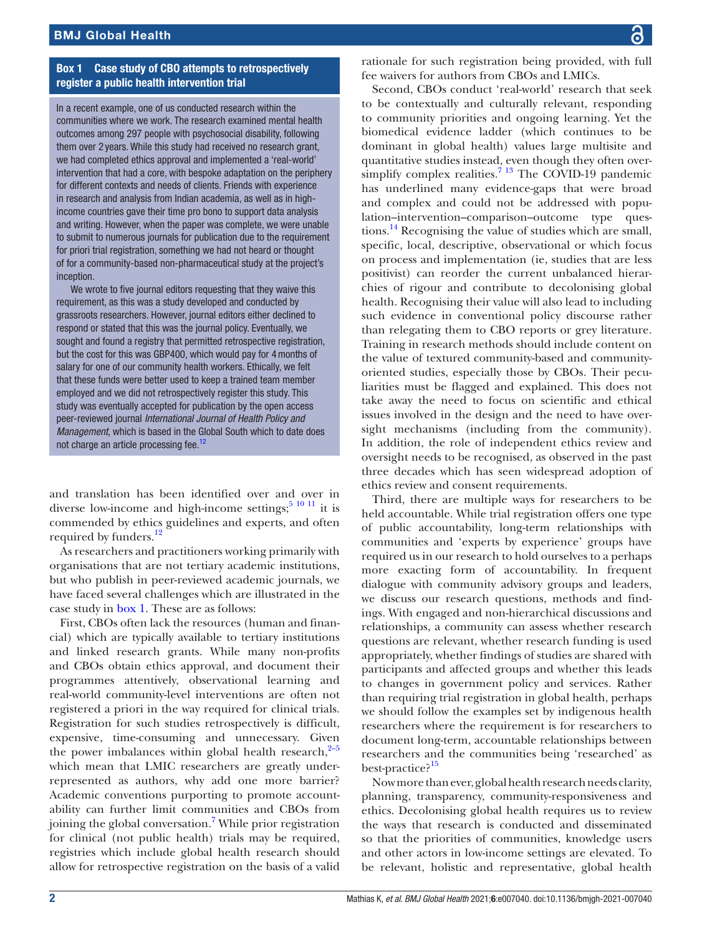## Box 1 Case study of CBO attempts to retrospectively register a public health intervention trial

<span id="page-1-0"></span>In a recent example, one of us conducted research within the communities where we work. The research examined mental health outcomes among 297 people with psychosocial disability, following them over 2 years. While this study had received no research grant, we had completed ethics approval and implemented a 'real-world' intervention that had a core, with bespoke adaptation on the periphery for different contexts and needs of clients. Friends with experience in research and analysis from Indian academia, as well as in highincome countries gave their time pro bono to support data analysis and writing. However, when the paper was complete, we were unable to submit to numerous journals for publication due to the requirement for priori trial registration, something we had not heard or thought of for a community-based non-pharmaceutical study at the project's inception.

We wrote to five journal editors requesting that they waive this requirement, as this was a study developed and conducted by grassroots researchers. However, journal editors either declined to respond or stated that this was the journal policy. Eventually, we sought and found a registry that permitted retrospective registration, but the cost for this was GBP400, which would pay for 4months of salary for one of our community health workers. Ethically, we felt that these funds were better used to keep a trained team member employed and we did not retrospectively register this study. This study was eventually accepted for publication by the open access peer-reviewed journal *[International Journal of Health Policy and](https://www.ijhpm.com/)  [Management](https://www.ijhpm.com/)*, which is based in the Global South which to date does not charge an article processing fee.<sup>12</sup>

and translation has been identified over and over in diverse low-income and high-income settings; $5^{10}$  11 it is commended by ethics guidelines and experts, and often required by funders.<sup>[12](#page-2-5)</sup>

As researchers and practitioners working primarily with organisations that are not tertiary academic institutions, but who publish in peer-reviewed academic journals, we have faced several challenges which are illustrated in the case study in [box](#page-1-0) 1. These are as follows:

First, CBOs often lack the resources (human and financial) which are typically available to tertiary institutions and linked research grants. While many non-profits and CBOs obtain ethics approval, and document their programmes attentively, observational learning and real-world community-level interventions are often not registered a priori in the way required for clinical trials. Registration for such studies retrospectively is difficult, expensive, time-consuming and unnecessary. Given the power imbalances within global health research, $2-5$ which mean that LMIC researchers are greatly underrepresented as authors, why add one more barrier? Academic conventions purporting to promote accountability can further limit communities and CBOs from joining the global conversation.<sup>[7](#page-2-6)</sup> While prior registration for clinical (not public health) trials may be required, registries which include global health research should allow for retrospective registration on the basis of a valid

rationale for such registration being provided, with full fee waivers for authors from CBOs and LMICs.

Second, CBOs conduct 'real-world' research that seek to be contextually and culturally relevant, responding to community priorities and ongoing learning. Yet the biomedical evidence ladder (which continues to be dominant in global health) values large multisite and quantitative studies instead, even though they often oversimplify complex realities.<sup>7</sup> <sup>13</sup> The COVID-19 pandemic has underlined many evidence-gaps that were broad and complex and could not be addressed with population–intervention–comparison–outcome type questions.<sup>14</sup> Recognising the value of studies which are small, specific, local, descriptive, observational or which focus on process and implementation (ie, studies that are less positivist) can reorder the current unbalanced hierarchies of rigour and contribute to decolonising global health. Recognising their value will also lead to including such evidence in conventional policy discourse rather than relegating them to CBO reports or grey literature. Training in research methods should include content on the value of textured community-based and communityoriented studies, especially those by CBOs. Their peculiarities must be flagged and explained. This does not take away the need to focus on scientific and ethical issues involved in the design and the need to have oversight mechanisms (including from the community). In addition, the role of independent ethics review and oversight needs to be recognised, as observed in the past three decades which has seen widespread adoption of ethics review and consent requirements.

Third, there are multiple ways for researchers to be held accountable. While trial registration offers one type of public accountability, long-term relationships with communities and 'experts by experience' groups have required us in our research to hold ourselves to a perhaps more exacting form of accountability. In frequent dialogue with community advisory groups and leaders, we discuss our research questions, methods and findings. With engaged and non-hierarchical discussions and relationships, a community can assess whether research questions are relevant, whether research funding is used appropriately, whether findings of studies are shared with participants and affected groups and whether this leads to changes in government policy and services. Rather than requiring trial registration in global health, perhaps we should follow the examples set by indigenous health researchers where the requirement is for researchers to document long-term, accountable relationships between researchers and the communities being 'researched' as best-practice?<sup>15</sup>

Now more than ever, global health research needs clarity, planning, transparency, community-responsiveness and ethics. Decolonising global health requires us to review the ways that research is conducted and disseminated so that the priorities of communities, knowledge users and other actors in low-income settings are elevated. To be relevant, holistic and representative, global health